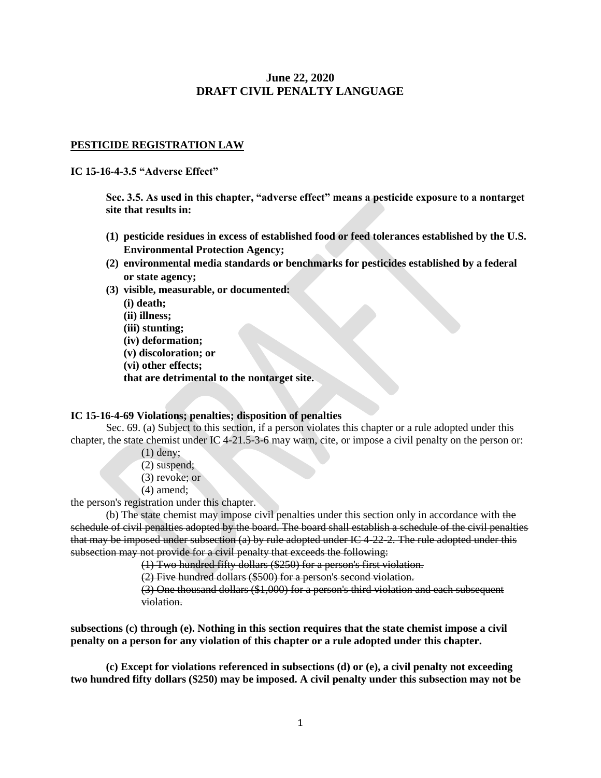# **June 22, 2020 DRAFT CIVIL PENALTY LANGUAGE**

## **PESTICIDE REGISTRATION LAW**

#### **IC 15-16-4-3.5 "Adverse Effect"**

**Sec. 3.5. As used in this chapter, "adverse effect" means a pesticide exposure to a nontarget site that results in:** 

- **(1) pesticide residues in excess of established food or feed tolerances established by the U.S. Environmental Protection Agency;**
- **(2) environmental media standards or benchmarks for pesticides established by a federal or state agency;**
- **(3) visible, measurable, or documented:**
	- **(i) death;**
	- **(ii) illness;**
	- **(iii) stunting;**
	- **(iv) deformation;**
	- **(v) discoloration; or**
	- **(vi) other effects;**
	- **that are detrimental to the nontarget site.**

## **IC 15-16-4-69 Violations; penalties; disposition of penalties**

Sec. 69. (a) Subject to this section, if a person violates this chapter or a rule adopted under this chapter, the state chemist under IC 4-21.5-3-6 may warn, cite, or impose a civil penalty on the person or:

- (1) deny;
- (2) suspend;
- (3) revoke; or
- (4) amend;

the person's registration under this chapter.

(b) The state chemist may impose civil penalties under this section only in accordance with the schedule of civil penalties adopted by the board. The board shall establish a schedule of the civil penalties that may be imposed under subsection (a) by rule adopted under IC 4-22-2. The rule adopted under this subsection may not provide for a civil penalty that exceeds the following:

(1) Two hundred fifty dollars (\$250) for a person's first violation.

(2) Five hundred dollars (\$500) for a person's second violation.

(3) One thousand dollars (\$1,000) for a person's third violation and each subsequent violation.

**subsections (c) through (e). Nothing in this section requires that the state chemist impose a civil penalty on a person for any violation of this chapter or a rule adopted under this chapter.**

**(c) Except for violations referenced in subsections (d) or (e), a civil penalty not exceeding two hundred fifty dollars (\$250) may be imposed. A civil penalty under this subsection may not be**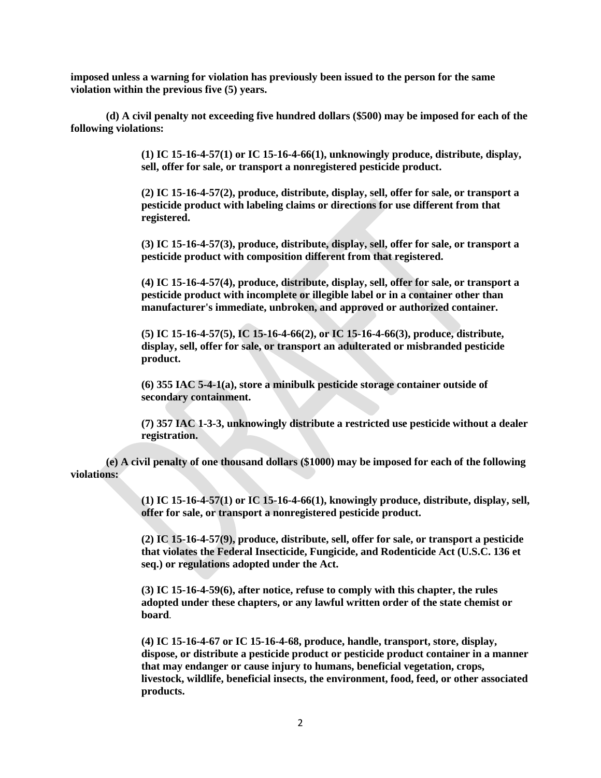**imposed unless a warning for violation has previously been issued to the person for the same violation within the previous five (5) years.**

**(d) A civil penalty not exceeding five hundred dollars (\$500) may be imposed for each of the following violations:**

> **(1) IC 15-16-4-57(1) or IC 15-16-4-66(1), unknowingly produce, distribute, display, sell, offer for sale, or transport a nonregistered pesticide product.**

> **(2) IC 15-16-4-57(2), produce, distribute, display, sell, offer for sale, or transport a pesticide product with labeling claims or directions for use different from that registered.**

> **(3) IC 15-16-4-57(3), produce, distribute, display, sell, offer for sale, or transport a pesticide product with composition different from that registered.**

> **(4) IC 15-16-4-57(4), produce, distribute, display, sell, offer for sale, or transport a pesticide product with incomplete or illegible label or in a container other than manufacturer's immediate, unbroken, and approved or authorized container.**

**(5) IC 15-16-4-57(5), IC 15-16-4-66(2), or IC 15-16-4-66(3), produce, distribute, display, sell, offer for sale, or transport an adulterated or misbranded pesticide product.**

**(6) 355 IAC 5-4-1(a), store a minibulk pesticide storage container outside of secondary containment.** 

**(7) 357 IAC 1-3-3, unknowingly distribute a restricted use pesticide without a dealer registration.**

**(e) A civil penalty of one thousand dollars (\$1000) may be imposed for each of the following violations:**

> **(1) IC 15-16-4-57(1) or IC 15-16-4-66(1), knowingly produce, distribute, display, sell, offer for sale, or transport a nonregistered pesticide product.**

**(2) IC 15-16-4-57(9), produce, distribute, sell, offer for sale, or transport a pesticide that violates the Federal Insecticide, Fungicide, and Rodenticide Act (U.S.C. 136 et seq.) or regulations adopted under the Act.** 

**(3) IC 15-16-4-59(6), after notice, refuse to comply with this chapter, the rules adopted under these chapters, or any lawful written order of the state chemist or board**.

**(4) IC 15-16-4-67 or IC 15-16-4-68, produce, handle, transport, store, display, dispose, or distribute a pesticide product or pesticide product container in a manner that may endanger or cause injury to humans, beneficial vegetation, crops, livestock, wildlife, beneficial insects, the environment, food, feed, or other associated products.**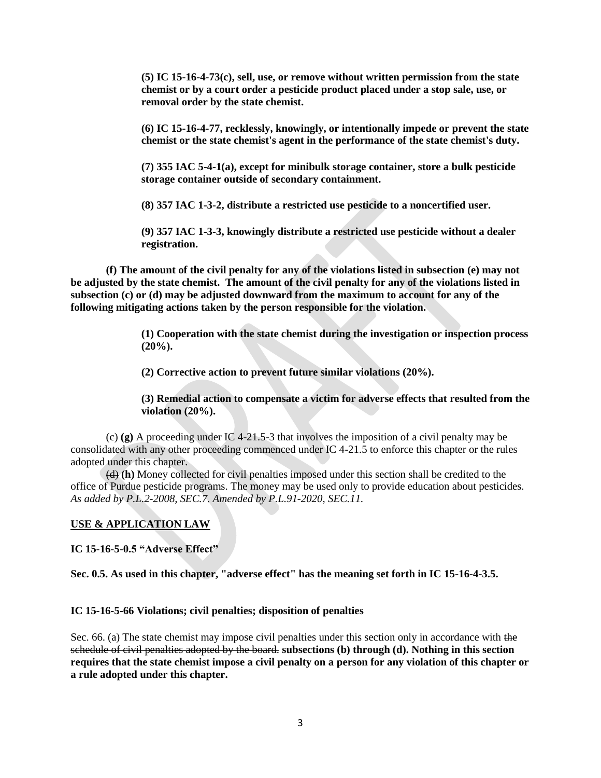**(5) IC 15-16-4-73(c), sell, use, or remove without written permission from the state chemist or by a court order a pesticide product placed under a stop sale, use, or removal order by the state chemist.**

**(6) IC 15-16-4-77, recklessly, knowingly, or intentionally impede or prevent the state chemist or the state chemist's agent in the performance of the state chemist's duty.**

**(7) 355 IAC 5-4-1(a), except for minibulk storage container, store a bulk pesticide storage container outside of secondary containment.**

**(8) 357 IAC 1-3-2, distribute a restricted use pesticide to a noncertified user.**

**(9) 357 IAC 1-3-3, knowingly distribute a restricted use pesticide without a dealer registration.**

**(f) The amount of the civil penalty for any of the violations listed in subsection (e) may not be adjusted by the state chemist. The amount of the civil penalty for any of the violations listed in subsection (c) or (d) may be adjusted downward from the maximum to account for any of the following mitigating actions taken by the person responsible for the violation.**

> **(1) Cooperation with the state chemist during the investigation or inspection process (20%).**

**(2) Corrective action to prevent future similar violations (20%).**

**(3) Remedial action to compensate a victim for adverse effects that resulted from the violation (20%).**

 $\left(\frac{e}{f}\right)$  (g) A proceeding under IC 4-21.5-3 that involves the imposition of a civil penalty may be consolidated with any other proceeding commenced under IC 4-21.5 to enforce this chapter or the rules adopted under this chapter.

(d) **(h)** Money collected for civil penalties imposed under this section shall be credited to the office of Purdue pesticide programs. The money may be used only to provide education about pesticides. *As added by P.L.2-2008, SEC.7. Amended by P.L.91-2020, SEC.11.*

#### **USE & APPLICATION LAW**

**IC 15-16-5-0.5 "Adverse Effect"**

**Sec. 0.5. As used in this chapter, "adverse effect" has the meaning set forth in IC 15-16-4-3.5.**

## **IC 15-16-5-66 Violations; civil penalties; disposition of penalties**

Sec. 66. (a) The state chemist may impose civil penalties under this section only in accordance with the schedule of civil penalties adopted by the board. **subsections (b) through (d). Nothing in this section requires that the state chemist impose a civil penalty on a person for any violation of this chapter or a rule adopted under this chapter.**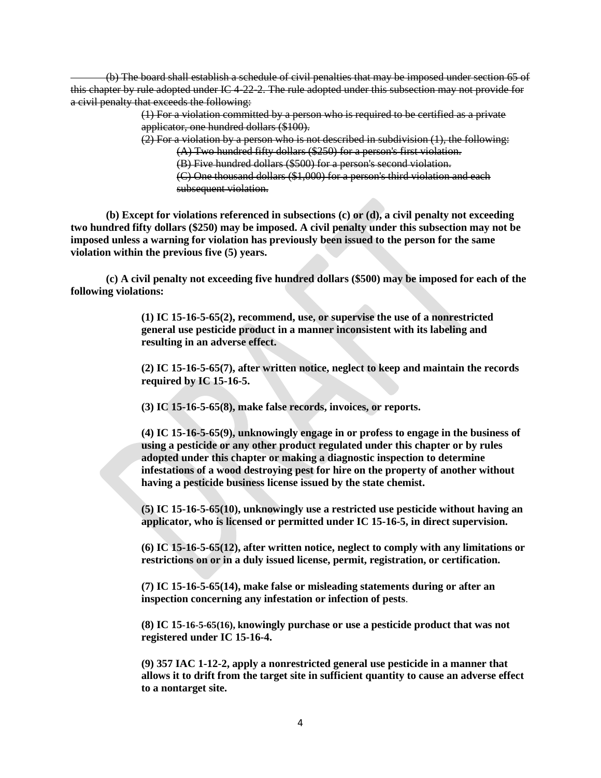(b) The board shall establish a schedule of civil penalties that may be imposed under section 65 of this chapter by rule adopted under IC 4-22-2. The rule adopted under this subsection may not provide for a civil penalty that exceeds the following:

> (1) For a violation committed by a person who is required to be certified as a private applicator, one hundred dollars (\$100).

> $(2)$  For a violation by a person who is not described in subdivision  $(1)$ , the following: (A) Two hundred fifty dollars (\$250) for a person's first violation.

(B) Five hundred dollars (\$500) for a person's second violation.

(C) One thousand dollars (\$1,000) for a person's third violation and each subsequent violation.

**(b) Except for violations referenced in subsections (c) or (d), a civil penalty not exceeding two hundred fifty dollars (\$250) may be imposed. A civil penalty under this subsection may not be imposed unless a warning for violation has previously been issued to the person for the same violation within the previous five (5) years.**

**(c) A civil penalty not exceeding five hundred dollars (\$500) may be imposed for each of the following violations:**

> **(1) IC 15-16-5-65(2), recommend, use, or supervise the use of a nonrestricted general use pesticide product in a manner inconsistent with its labeling and resulting in an adverse effect.**

**(2) IC 15-16-5-65(7), after written notice, neglect to keep and maintain the records required by IC 15-16-5.**

**(3) IC 15-16-5-65(8), make false records, invoices, or reports.**

**(4) IC 15-16-5-65(9), unknowingly engage in or profess to engage in the business of using a pesticide or any other product regulated under this chapter or by rules adopted under this chapter or making a diagnostic inspection to determine infestations of a wood destroying pest for hire on the property of another without having a pesticide business license issued by the state chemist.**

**(5) IC 15-16-5-65(10), unknowingly use a restricted use pesticide without having an applicator, who is licensed or permitted under IC 15-16-5, in direct supervision.**

**(6) IC 15-16-5-65(12), after written notice, neglect to comply with any limitations or restrictions on or in a duly issued license, permit, registration, or certification.**

**(7) IC 15-16-5-65(14), make false or misleading statements during or after an inspection concerning any infestation or infection of pests**.

**(8) IC 15-16-5-65(16), knowingly purchase or use a pesticide product that was not registered under IC 15-16-4.**

**(9) 357 IAC 1-12-2, apply a nonrestricted general use pesticide in a manner that allows it to drift from the target site in sufficient quantity to cause an adverse effect to a nontarget site.**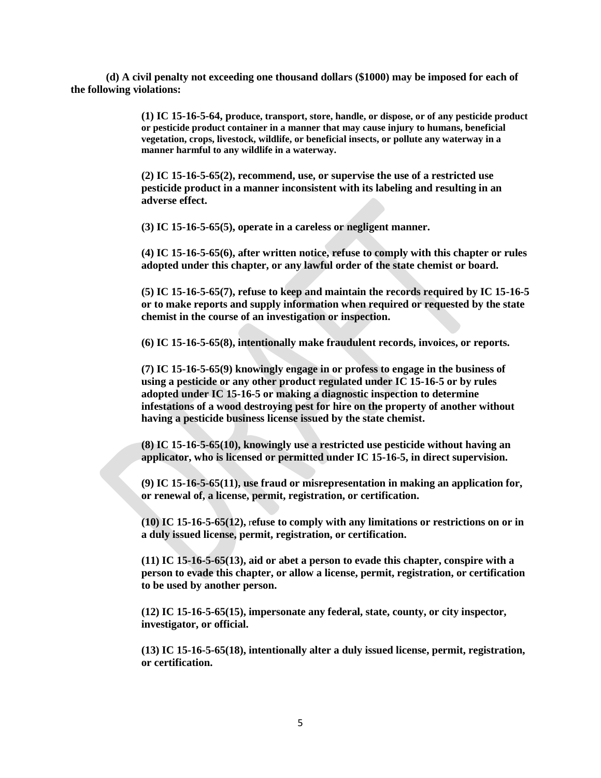**(d) A civil penalty not exceeding one thousand dollars (\$1000) may be imposed for each of the following violations:**

> **(1) IC 15-16-5-64, produce, transport, store, handle, or dispose, or of any pesticide product or pesticide product container in a manner that may cause injury to humans, beneficial vegetation, crops, livestock, wildlife, or beneficial insects, or pollute any waterway in a manner harmful to any wildlife in a waterway.**

**(2) IC 15-16-5-65(2), recommend, use, or supervise the use of a restricted use pesticide product in a manner inconsistent with its labeling and resulting in an adverse effect.**

**(3) IC 15-16-5-65(5), operate in a careless or negligent manner.**

**(4) IC 15-16-5-65(6), after written notice, refuse to comply with this chapter or rules adopted under this chapter, or any lawful order of the state chemist or board.**

**(5) IC 15-16-5-65(7), refuse to keep and maintain the records required by IC 15-16-5 or to make reports and supply information when required or requested by the state chemist in the course of an investigation or inspection.**

**(6) IC 15-16-5-65(8), intentionally make fraudulent records, invoices, or reports.**

**(7) IC 15-16-5-65(9) knowingly engage in or profess to engage in the business of using a pesticide or any other product regulated under IC 15-16-5 or by rules adopted under IC 15-16-5 or making a diagnostic inspection to determine infestations of a wood destroying pest for hire on the property of another without having a pesticide business license issued by the state chemist.**

**(8) IC 15-16-5-65(10), knowingly use a restricted use pesticide without having an applicator, who is licensed or permitted under IC 15-16-5, in direct supervision.**

**(9) IC 15-16-5-65(11), use fraud or misrepresentation in making an application for, or renewal of, a license, permit, registration, or certification.**

**(10) IC 15-16-5-65(12),** r**efuse to comply with any limitations or restrictions on or in a duly issued license, permit, registration, or certification.**

**(11) IC 15-16-5-65(13), aid or abet a person to evade this chapter, conspire with a person to evade this chapter, or allow a license, permit, registration, or certification to be used by another person.**

**(12) IC 15-16-5-65(15), impersonate any federal, state, county, or city inspector, investigator, or official.** 

**(13) IC 15-16-5-65(18), intentionally alter a duly issued license, permit, registration, or certification.**